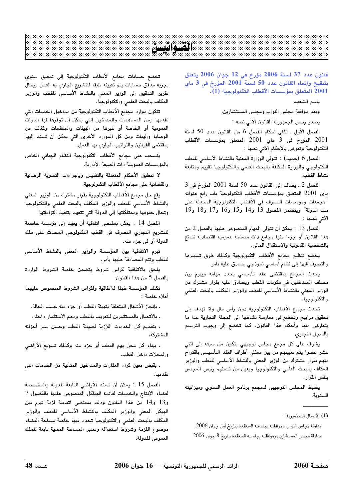## **Party Strip**

قانون عدد 37 لسنة 2006 مؤرخ فى 12 جوان 2006 يتعلق بتنقيح وإتمام القانون عدد 50 لسنة 2001 المؤرخ في 3 ماي 2001 المتعلق بمؤسسات الأقطاب التكنولوجية (1).

باسم الشعب،

وبعد موافقة مجلس النواب ومجلس المستشارين،

يصدر رئيس الجمهورية القانون الآتي نصه :

الفصل الأول . تلغى أحكام الفصل 6 من القانون عدد 50 لسنة 2001 المؤرخ في 3 ماي 2001 المتعلق بمؤسسات الأقطاب التكنولوجية وتعوض بالأحكام الآتي نصها :

الفصل 6 (جديد) : تتولى الوزارة المعنية بالنشاط الأساسى للقطب التكنولوجي والوزارة المكلفة بالبحث العلمى والتكنولوجيا تقييم ومتابعة نشاط القطب.

 $3$  الفصل 2 . يضاف إلى القانون عدد 50 لسنة 2001 المؤرخ في ماي 2001 المتعلق بمؤسسات الأقطاب التكنولوجية باب رابع عنوانه "مجمعات ومؤسسات التصرف فى الأقطاب التكنولوجية المحدثة على ملك الدولة" ويتضمن الفصول 13 و14 و15 و16 و17 و18 و19 الآتي نصها ∶

الفصل 13 : يمكن أن تتولى المهام المنصوص عليها بالفصل 2 من هذا القانون أو جزءا منها مجامع ذات مصلحة عمومية اقتصادية تتمتع بالشخصية القانونية والاستقلال المالي.

يخضع تنظيم مجامع الأقطاب التكنولوجية وكذلك طرق تسييرها والتصرف فيها إلى نظام أساسي نموذجي يصادق عليه بأمر.

يحدث المجمع بمقتضى عقد تأسيسى يحدد مهامه ويبرم بين مختلف المتدخلين في مكونات القطب ويصادق عليه بقرار مشترك من الوزير المعني بالنشاط الأساسي للقطب والوزير المكلف بالبحث العلمي والتكنولوجيا .

تحدث مجامع الأقطاب التكنولوجية دون رأس مال ولا تهدف إلى تحقيق مرابيح وتخضع في ممارسة نشاطها إلى المجلة التجارية عدا ما يتعارض منها وأحكام هذا القانون. كما تخضع إلى وجوب الترسيم بالسجل التجاري.

يشرف على كل مجمع مجلس توجيهي يتكون من سبعة إلى اثني عشر عضوا يتم تعيينهم من بين ممثلي أطراف العقد التأسيسي باقتراح منهم بقرار مشترك من الوزير المعنى بالنشاط الأساسى للقطب والوزير المكلف بالبحث العلمي والتكنولوجيا ويعين من ضمنهم رئيس المجلس بنفس القرار.

يضبط المجلس التوجيهي للمجمع برنامج العمل السنوي وميزانيته السنوية.

مداولة مجلس النواب وموافقته بجلسته المنعقدة بتاريخ أول جوان 2006. مداولة مجلس المستشارين وموافقته بجلسته المنعقدة بتاريخ 8 جوان 2006.

تخضع حسابات مجامع الأقطاب التكنولوجية إلى تدقيق سنوى يجريه مدقق حسابات يتم تعيينه طبقا للتشريع الجاري به العمل ويحال تقرير التدقيق إلى الوزير المعني بالنشاط الأساسي للقطب والوزير المكلف بالبحث العلمى والتكنولوجيا.

تتكون موارد مجامع الأقطاب التكنولوجية من مداخيل الخدمات التي تقدمها ومن المساهمات والمداخيل التى يمكن أن توفرها لها الذوات العمومية أو الخاصة أو غيرها من الهيئات والمنظمات وكذلك من الوصايا والهبات ومن كل الموارد الأخرى التي يمكن أن تسند إليها بمقتضى القوانين والتراتيب الجاري بها العمل.

ينسحب على مجامع الأقطاب التكنولوجية النظام الجبائى الخاص بالمؤسسات العمومية ذات الصبغة الإدارية.

لا تنطبق الأحكام المتعلقة بالتفليس وبإجراءات التسوية الرضائية والقضائية على مجامع الأقطاب التكنولوجية.

يقع حل مجامع الأقطاب التكنولوجية بقرار مشترك من الوزير المعنى بالنشاط الأساسى للقطب والوزير المكلف بالبحث العلمى والتكنولوجيا وتحال حقوقها وممتلكاتها إلى الدولة التى تتعهد بتنفيذ التزاماتها.

الفصل 14 : يمكن بمقتضى اتفاقية أن يعهد إلى مؤسسة خاضعة للتشريع التجاري التصرف في القطب التكنولوجى المحدث على ملك الدولة أو في جزء منه.

تبرم الاتفاقية بين المؤسسة والوزير المعني بالنشاط الأساسي للقطب وتتم المصادقة عليها بأمر.

يلحق بالاتفاقية كراس شروط يتضمن خاصة الشروط الواردة بالفصل 5 من هذا القانون.

تكلف المؤسسة طبقا للاتفاقية ولكراس الشروط المنصوص عليهما أعلاه خاصة :

. بإنجاز الأشغال المتعلقة بتهيئة القطب أو جزء منه حسب الحالة،

. بالاتصال بالمستثمرين للتعريف بالقطب ودعم الاستثمار داخله،

. بتقديم كل الخدمات اللازمة لصيانة القطب وحسن سير أجزائه المشتركة،

۔ ببناء كل محل يهم القطب أو جزء منه وكذلك تسويغ الأراضي والمحلات داخل القطب،

. بقبض معين كراء العقارات والمداخيل المتأتية من الخدمات التي تقدمها.

الفصل 15 : يمكن أن تسند الأراضي التابعة للدولة والمخصصة لفضاء الإنتاج والخدمات لفائدة الهياكل المنصوص عليها بالفصول 7 و13 و14 من هذا القانون وذلك بمقتضى اتفاقية لزمة تبرم بين الهيكل المعني والوزير المكلف بالنشاط الأساسي للقطب والوزير المكلف بالبحث العلمى والتكنولوجيا تحدد فيها خاصة مساحة الفضاء موضوع اللزمة وشروط استغلاله وتعتبر المساحة المعنية تابعة للملك العمومي للدولة.

<sup>(1)</sup> الأعمال التحضيرية :